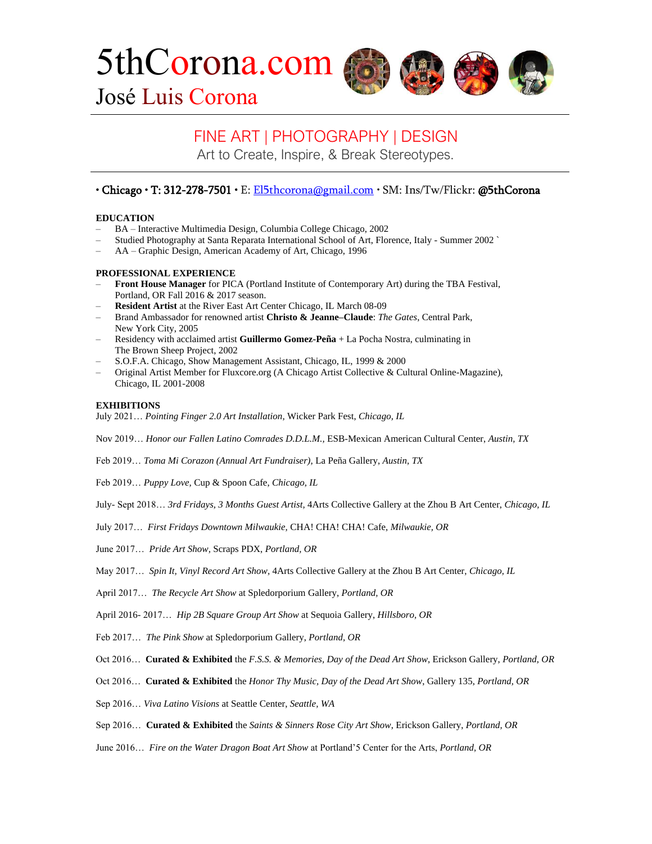5thCorona.com





José Luis Corona

# FINE ART | PHOTOGRAPHY | DESIGN

Art to Create, Inspire, & Break Stereotypes.

## • Chicago • T: 312-278-7501 • E[: El5thcorona@gmail.com](mailto:El5thcorona@gmail.com) • SM: Ins/Tw/Flickr: @5thCorona

## **EDUCATION**

- BA Interactive Multimedia Design, Columbia College Chicago, 2002
- Studied Photography at Santa Reparata International School of Art, Florence, Italy Summer 2002 `
- AA Graphic Design, American Academy of Art, Chicago, 1996

## **PROFESSIONAL EXPERIENCE**

- **Front House Manager** for PICA (Portland Institute of Contemporary Art) during the TBA Festival, Portland, OR Fall 2016 & 2017 season.
- **Resident Artist** at the River East Art Center Chicago, IL March 08-09
- Brand Ambassador for renowned artist **Christo & Jeanne–Claude**: *The Gates*, Central Park, New York City, 2005
- Residency with acclaimed artist **Guillermo Gomez-Peña** + La Pocha Nostra, culminating in The Brown Sheep Project, 2002
- S.O.F.A. Chicago, Show Management Assistant, Chicago, IL, 1999 & 2000
- Original Artist Member for Fluxcore.org (A Chicago Artist Collective & Cultural Online-Magazine), Chicago, IL 2001-2008

### **EXHIBITIONS**

July 2021… *Pointing Finger 2.0 Art Installation,* Wicker Park Fest, *Chicago, IL*

Nov 2019… *Honor our Fallen Latino Comrades D.D.L.M.,* ESB-Mexican American Cultural Center, *Austin, TX*

Feb 2019… *Toma Mi Corazon (Annual Art Fundraiser),* La Peña Gallery, *Austin, TX*

Feb 2019… *Puppy Love,* Cup & Spoon Cafe, *Chicago, IL*

July- Sept 2018… *3rd Fridays, 3 Months Guest Artist,* 4Arts Collective Gallery at the Zhou B Art Center, *Chicago, IL*

- July 2017… *First Fridays Downtown Milwaukie,* CHA! CHA! CHA! Cafe, *Milwaukie, OR*
- June 2017… *Pride Art Show,* Scraps PDX, *Portland, OR*
- May 2017… *Spin It, Vinyl Record Art Show,* 4Arts Collective Gallery at the Zhou B Art Center, *Chicago, IL*

April 2017… *The Recycle Art Show* at Spledorporium Gallery, *Portland, OR*

April 2016- 2017… *Hip 2B Square Group Art Show* at Sequoia Gallery, *Hillsboro, OR*

- Feb 2017… *The Pink Show* at Spledorporium Gallery, *Portland, OR*
- Oct 2016… **Curated & Exhibited** the *F.S.S. & Memories, Day of the Dead Art Show*, Erickson Gallery, *Portland, OR*
- Oct 2016… **Curated & Exhibited** the *Honor Thy Music, Day of the Dead Art Show*, Gallery 135, *Portland, OR*
- Sep 2016… *Viva Latino Visions* at Seattle Center, *Seattle, WA*
- Sep 2016… **Curated & Exhibited** the *Saints & Sinners Rose City Art Show*, Erickson Gallery, *Portland, OR*
- June 2016… *Fire on the Water Dragon Boat Art Show* at Portland'5 Center for the Arts, *Portland, OR*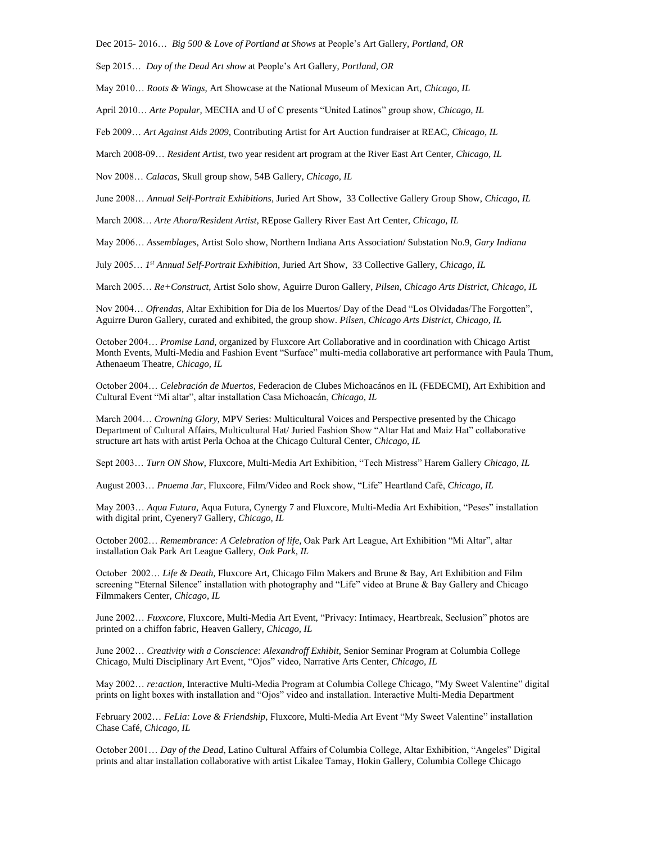Dec 2015- 2016… *Big 500 & Love of Portland at Shows* at People's Art Gallery, *Portland, OR*

Sep 2015… *Day of the Dead Art show* at People's Art Gallery, *Portland, OR*

May 2010… *Roots & Wings,* Art Showcase at the National Museum of Mexican Art, *Chicago, IL*

April 2010… *Arte Popular,* MECHA and U of C presents "United Latinos" group show, *Chicago, IL*

Feb 2009… *Art Against Aids 2009,* Contributing Artist for Art Auction fundraiser at REAC, *Chicago, IL*

March 2008-09… *Resident Artist,* two year resident art program at the River East Art Center, *Chicago, IL*

Nov 2008… *Calacas,* Skull group show, 54B Gallery, *Chicago, IL*

June 2008… *Annual Self-Portrait Exhibitions,* Juried Art Show, 33 Collective Gallery Group Show, *Chicago, IL*

March 2008… *Arte Ahora/Resident Artist,* REpose Gallery River East Art Center, *Chicago, IL*

May 2006… *Assemblages,* Artist Solo show, Northern Indiana Arts Association/ Substation No.9, *Gary Indiana*

July 2005… *1 st Annual Self-Portrait Exhibition,* Juried Art Show, 33 Collective Gallery, *Chicago, IL*

March 2005… *Re+Construct,* Artist Solo show, Aguirre Duron Gallery, *Pilsen, Chicago Arts District, Chicago, IL*

Nov 2004… *Ofrendas,* Altar Exhibition for Dia de los Muertos/ Day of the Dead "Los Olvidadas/The Forgotten", Aguirre Duron Gallery, curated and exhibited, the group show. *Pilsen, Chicago Arts District, Chicago, IL*

October 2004… *Promise Land*, organized by Fluxcore Art Collaborative and in coordination with Chicago Artist Month Events, Multi-Media and Fashion Event "Surface" multi-media collaborative art performance with Paula Thum, Athenaeum Theatre, *Chicago, IL*

October 2004… *Celebración de Muertos*, Federacion de Clubes Michoacános en IL (FEDECMI), Art Exhibition and Cultural Event "Mi altar", altar installation Casa Michoacán, *Chicago, IL*

March 2004… *Crowning Glory*, MPV Series: Multicultural Voices and Perspective presented by the Chicago Department of Cultural Affairs, Multicultural Hat/ Juried Fashion Show "Altar Hat and Maiz Hat" collaborative structure art hats with artist Perla Ochoa at the Chicago Cultural Center, *Chicago, IL*

Sept 2003… *Turn ON Show*, Fluxcore, Multi-Media Art Exhibition, "Tech Mistress" Harem Gallery *Chicago, IL*

August 2003… *Pnuema Jar*, Fluxcore, Film/Video and Rock show, "Life" Heartland Café, *Chicago, IL*

May 2003… *Aqua Futura,* Aqua Futura, Cynergy 7 and Fluxcore, Multi-Media Art Exhibition, "Peses" installation with digital print, Cyenery7 Gallery, *Chicago, IL*

October 2002… *Remembrance: A Celebration of life,* Oak Park Art League, Art Exhibition "Mi Altar", altar installation Oak Park Art League Gallery, *Oak Park, IL*

October 2002… *Life & Death,* Fluxcore Art, Chicago Film Makers and Brune & Bay, Art Exhibition and Film screening "Eternal Silence" installation with photography and "Life" video at Brune & Bay Gallery and Chicago Filmmakers Center, *Chicago, IL*

June 2002… *Fuxxcore*, Fluxcore, Multi-Media Art Event, "Privacy: Intimacy, Heartbreak, Seclusion" photos are printed on a chiffon fabric, Heaven Gallery*, Chicago, IL*

June 2002… *Creativity with a Conscience: Alexandroff Exhibit*, Senior Seminar Program at Columbia College Chicago, Multi Disciplinary Art Event, "Ojos" video, Narrative Arts Center*, Chicago, IL*

May 2002… *re:action*, Interactive Multi-Media Program at Columbia College Chicago, "My Sweet Valentine" digital prints on light boxes with installation and "Ojos" video and installation. Interactive Multi-Media Department

February 2002… *FeLia: Love & Friendship*, Fluxcore, Multi-Media Art Event "My Sweet Valentine" installation Chase Café*, Chicago, IL*

October 2001… *Day of the Dead*, Latino Cultural Affairs of Columbia College, Altar Exhibition, "Angeles" Digital prints and altar installation collaborative with artist Likalee Tamay, Hokin Gallery, Columbia College Chicago